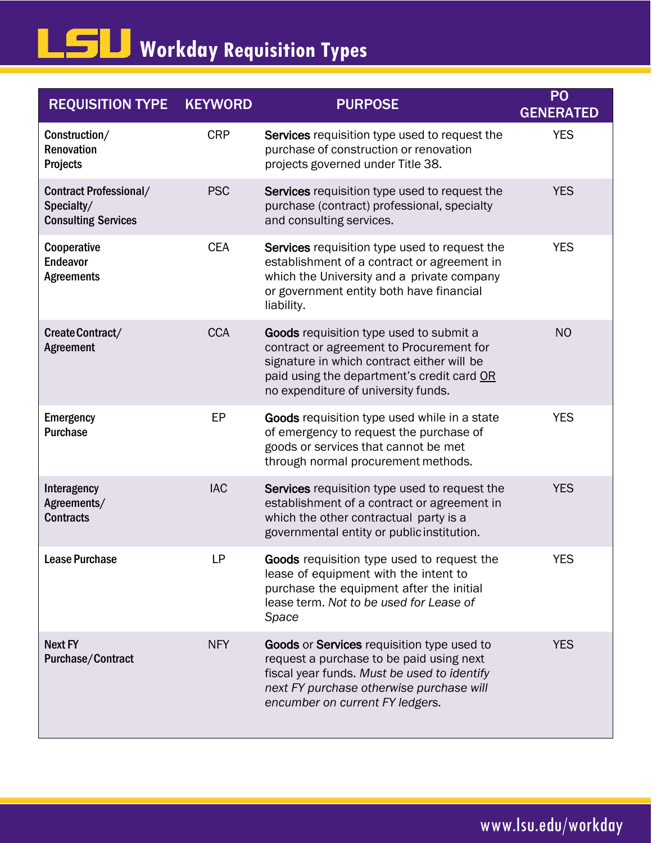## **Workday Requisition Types**

| <b>REQUISITION TYPE</b>                                                   | <b>KEYWORD</b> | <b>PURPOSE</b>                                                                                                                                                                                                                | P <sub>O</sub><br><b>GENERATED</b> |
|---------------------------------------------------------------------------|----------------|-------------------------------------------------------------------------------------------------------------------------------------------------------------------------------------------------------------------------------|------------------------------------|
| Construction/<br>Renovation<br>Projects                                   | <b>CRP</b>     | Services requisition type used to request the<br>purchase of construction or renovation<br>projects governed under Title 38.                                                                                                  | <b>YES</b>                         |
| <b>Contract Professional/</b><br>Specialty/<br><b>Consulting Services</b> | <b>PSC</b>     | Services requisition type used to request the<br>purchase (contract) professional, specialty<br>and consulting services.                                                                                                      | <b>YES</b>                         |
| Cooperative<br><b>Endeavor</b><br><b>Agreements</b>                       | <b>CEA</b>     | Services requisition type used to request the<br>establishment of a contract or agreement in<br>which the University and a private company<br>or government entity both have financial<br>liability.                          | <b>YES</b>                         |
| Create Contract/<br><b>Agreement</b>                                      | <b>CCA</b>     | <b>Goods</b> requisition type used to submit a<br>contract or agreement to Procurement for<br>signature in which contract either will be<br>paid using the department's credit card OR<br>no expenditure of university funds. | <b>NO</b>                          |
| <b>Emergency</b><br><b>Purchase</b>                                       | EP             | Goods requisition type used while in a state<br>of emergency to request the purchase of<br>goods or services that cannot be met<br>through normal procurement methods.                                                        | <b>YES</b>                         |
| Interagency<br>Agreements/<br><b>Contracts</b>                            | <b>IAC</b>     | <b>Services</b> requisition type used to request the<br>establishment of a contract or agreement in<br>which the other contractual party is a<br>governmental entity or public institution.                                   | <b>YES</b>                         |
| <b>Lease Purchase</b>                                                     | LP             | Goods requisition type used to request the<br>lease of equipment with the intent to<br>purchase the equipment after the initial<br>lease term. Not to be used for Lease of<br>Space                                           | <b>YES</b>                         |
| <b>Next FY</b><br><b>Purchase/Contract</b>                                | <b>NFY</b>     | Goods or Services requisition type used to<br>request a purchase to be paid using next<br>fiscal year funds. Must be used to identify<br>next FY purchase otherwise purchase will<br>encumber on current FY ledgers.          | <b>YES</b>                         |